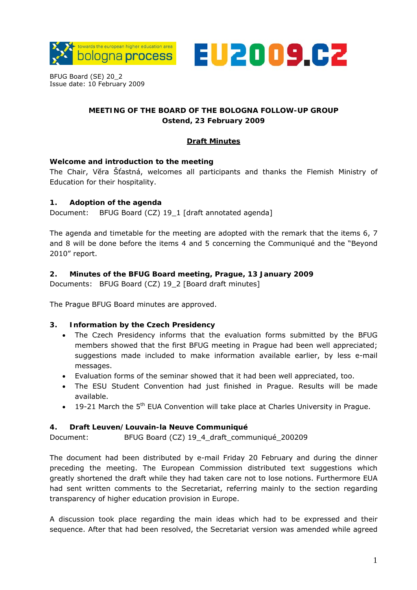



BFUG Board (SE) 20\_2 Issue date: 10 February 2009

# **MEETING OF THE BOARD OF THE BOLOGNA FOLLOW-UP GROUP Ostend, 23 February 2009**

# **Draft Minutes**

## **Welcome and introduction to the meeting**

The Chair, Vĕra Šťastná, welcomes all participants and thanks the Flemish Ministry of Education for their hospitality.

## **1. Adoption of the agenda**

Document: BFUG Board (CZ) 19\_1 [draft annotated agenda]

The agenda and timetable for the meeting are adopted with the remark that the items 6, 7 and 8 will be done before the items 4 and 5 concerning the Communiqué and the "Beyond 2010" report.

## **2. Minutes of the BFUG Board meeting, Prague, 13 January 2009**

Documents: BFUG Board (CZ) 19\_2 [Board draft minutes]

The Prague BFUG Board minutes are approved.

#### **3. Information by the Czech Presidency**

- The Czech Presidency informs that the evaluation forms submitted by the BFUG members showed that the first BFUG meeting in Prague had been well appreciated; suggestions made included to make information available earlier, by less e-mail messages.
- Evaluation forms of the seminar showed that it had been well appreciated, too.
- The ESU Student Convention had just finished in Prague. Results will be made available.
- $\bullet$  19-21 March the 5<sup>th</sup> EUA Convention will take place at Charles University in Prague.

#### **4. Draft Leuven/Louvain-la Neuve Communiqué**

Document: BFUG Board (CZ) 19\_4\_draft\_communiqué\_200209

The document had been distributed by e-mail Friday 20 February and during the dinner preceding the meeting. The European Commission distributed text suggestions which greatly shortened the draft while they had taken care not to lose notions. Furthermore EUA had sent written comments to the Secretariat, referring mainly to the section regarding transparency of higher education provision in Europe.

A discussion took place regarding the main ideas which had to be expressed and their sequence. After that had been resolved, the Secretariat version was amended while agreed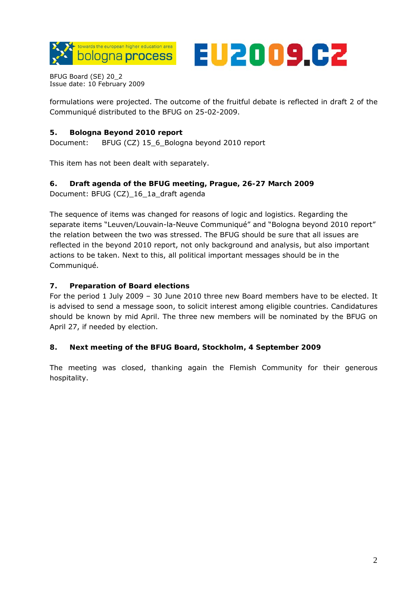



BFUG Board (SE) 20\_2 Issue date: 10 February 2009

formulations were projected. The outcome of the fruitful debate is reflected in draft 2 of the Communiqué distributed to the BFUG on 25-02-2009.

# **5. Bologna Beyond 2010 report**

Document: BFUG (CZ) 15\_6\_Bologna beyond 2010 report

This item has not been dealt with separately.

# **6. Draft agenda of the BFUG meeting, Prague, 26-27 March 2009**

Document: BFUG (CZ)\_16\_1a\_draft agenda

The sequence of items was changed for reasons of logic and logistics. Regarding the separate items "Leuven/Louvain-la-Neuve Communiqué" and "Bologna beyond 2010 report" the relation between the two was stressed. The BFUG should be sure that all issues are reflected in the beyond 2010 report, not only background and analysis, but also important actions to be taken. Next to this, all political important messages should be in the Communiqué.

## **7. Preparation of Board elections**

For the period 1 July 2009 – 30 June 2010 three new Board members have to be elected. It is advised to send a message soon, to solicit interest among eligible countries. Candidatures should be known by mid April. The three new members will be nominated by the BFUG on April 27, if needed by election.

#### **8. Next meeting of the BFUG Board, Stockholm, 4 September 2009**

The meeting was closed, thanking again the Flemish Community for their generous hospitality.